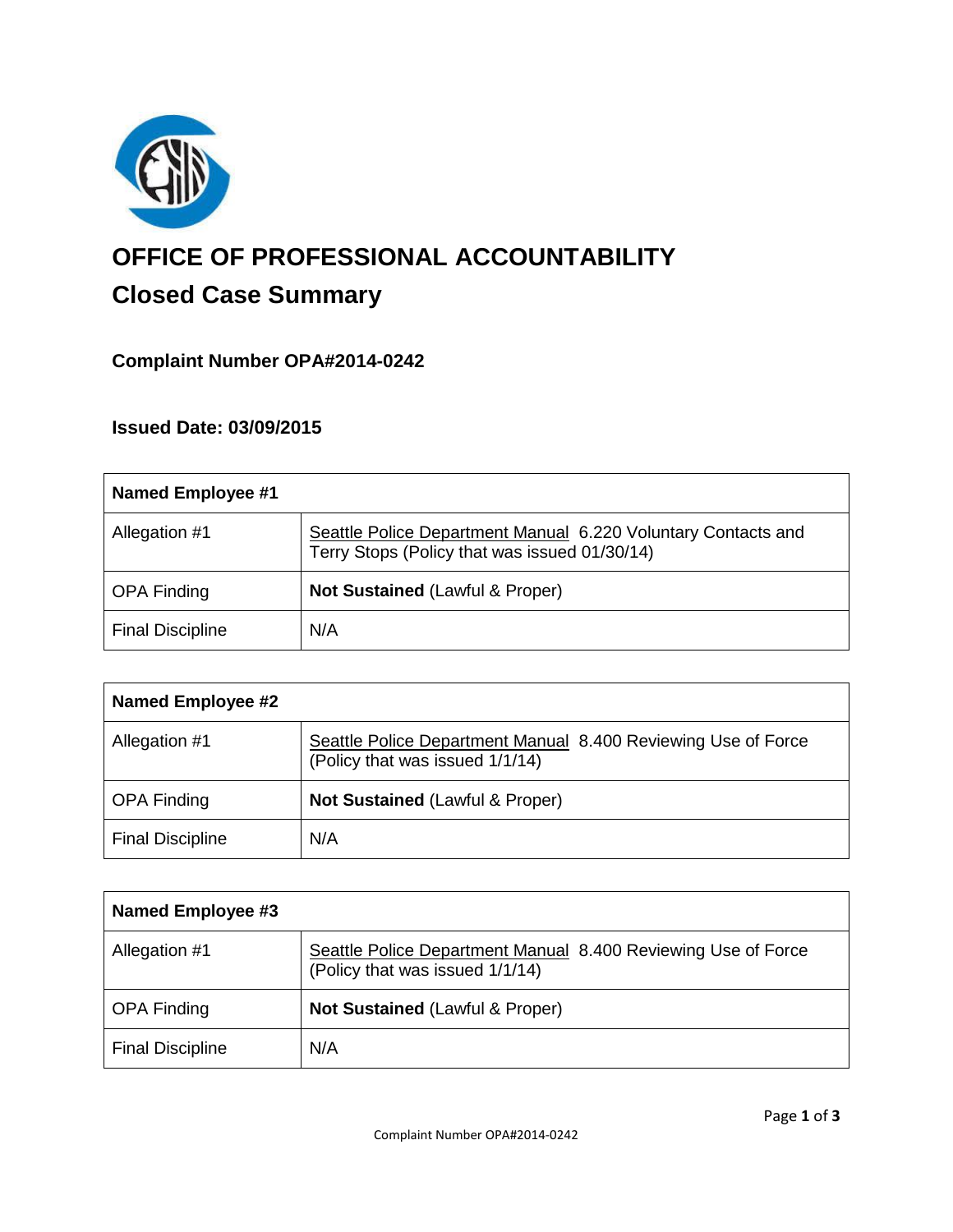

# **OFFICE OF PROFESSIONAL ACCOUNTABILITY Closed Case Summary**

# **Complaint Number OPA#2014-0242**

# **Issued Date: 03/09/2015**

| Named Employee #1       |                                                                                                                |
|-------------------------|----------------------------------------------------------------------------------------------------------------|
| Allegation #1           | Seattle Police Department Manual 6.220 Voluntary Contacts and<br>Terry Stops (Policy that was issued 01/30/14) |
| <b>OPA Finding</b>      | Not Sustained (Lawful & Proper)                                                                                |
| <b>Final Discipline</b> | N/A                                                                                                            |

| <b>Named Employee #2</b> |                                                                                                  |
|--------------------------|--------------------------------------------------------------------------------------------------|
| Allegation #1            | Seattle Police Department Manual 8.400 Reviewing Use of Force<br>(Policy that was issued 1/1/14) |
| <b>OPA Finding</b>       | <b>Not Sustained (Lawful &amp; Proper)</b>                                                       |
| <b>Final Discipline</b>  | N/A                                                                                              |

| Named Employee #3       |                                                                                                  |
|-------------------------|--------------------------------------------------------------------------------------------------|
| Allegation #1           | Seattle Police Department Manual 8.400 Reviewing Use of Force<br>(Policy that was issued 1/1/14) |
| <b>OPA Finding</b>      | <b>Not Sustained (Lawful &amp; Proper)</b>                                                       |
| <b>Final Discipline</b> | N/A                                                                                              |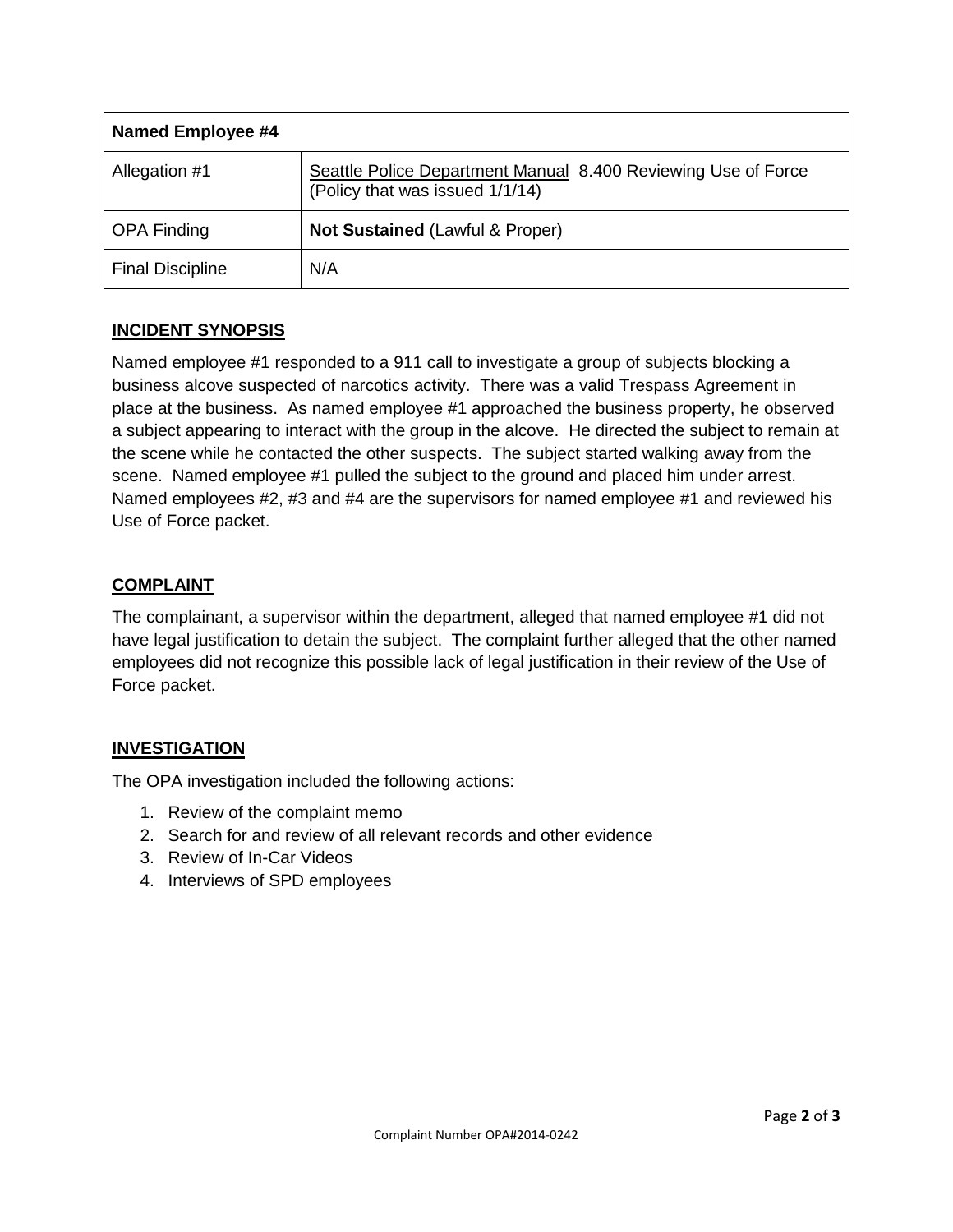| Named Employee #4       |                                                                                                  |
|-------------------------|--------------------------------------------------------------------------------------------------|
| Allegation #1           | Seattle Police Department Manual 8.400 Reviewing Use of Force<br>(Policy that was issued 1/1/14) |
| <b>OPA Finding</b>      | Not Sustained (Lawful & Proper)                                                                  |
| <b>Final Discipline</b> | N/A                                                                                              |

### **INCIDENT SYNOPSIS**

Named employee #1 responded to a 911 call to investigate a group of subjects blocking a business alcove suspected of narcotics activity. There was a valid Trespass Agreement in place at the business. As named employee #1 approached the business property, he observed a subject appearing to interact with the group in the alcove. He directed the subject to remain at the scene while he contacted the other suspects. The subject started walking away from the scene. Named employee #1 pulled the subject to the ground and placed him under arrest. Named employees #2, #3 and #4 are the supervisors for named employee #1 and reviewed his Use of Force packet.

# **COMPLAINT**

The complainant, a supervisor within the department, alleged that named employee #1 did not have legal justification to detain the subject. The complaint further alleged that the other named employees did not recognize this possible lack of legal justification in their review of the Use of Force packet.

# **INVESTIGATION**

The OPA investigation included the following actions:

- 1. Review of the complaint memo
- 2. Search for and review of all relevant records and other evidence
- 3. Review of In-Car Videos
- 4. Interviews of SPD employees